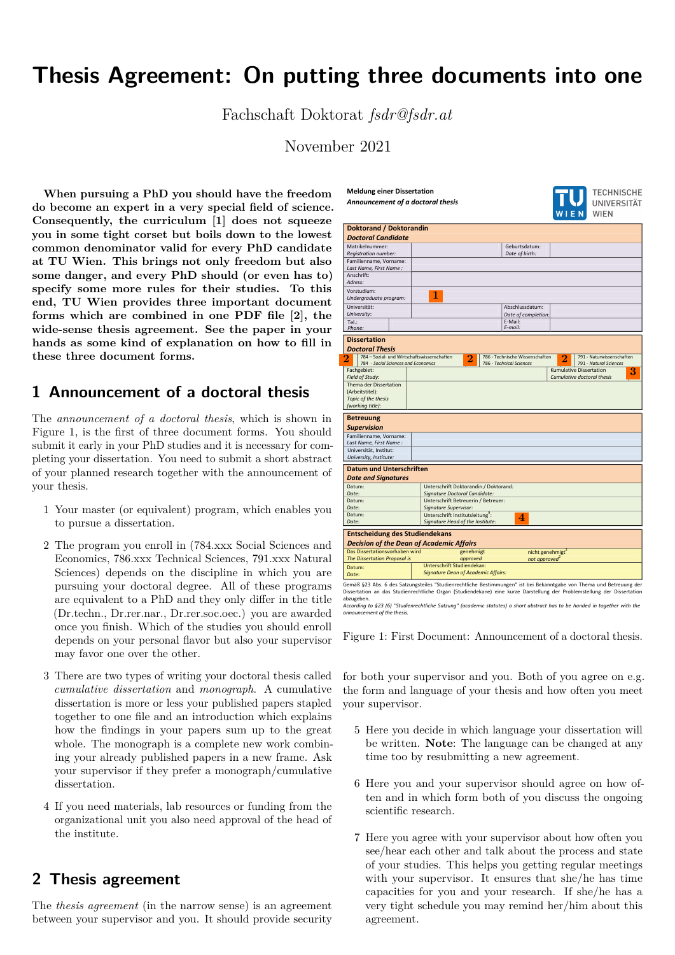# **Thesis Agreement: On putting three documents into one**

Fachschaft Doktorat *fsdr@fsdr.at*

November 2021

**Meldung einer Dissertation**  *Announcement of a doctoral thesis*

**When pursuing a PhD you should have the freedom do become an expert in a very special field of science. Consequently, the curriculum [\[1\]](#page-1-0) does not squeeze you in some tight corset but boils down to the lowest common denominator valid for every PhD candidate at TU Wien. This brings not only freedom but also some danger, and every PhD should (or even has to) specify some more rules for their studies. To this end, TU Wien provides three important document forms which are combined in one PDF file [\[2\]](#page-1-1), the wide-sense thesis agreement. See the paper in your hands as some kind of explanation on how to fill in these three document forms.**

### <span id="page-0-0"></span>**1 Announcement of a doctoral thesis**

The *announcement of a doctoral thesis*, which is shown in Figure [1,](#page-0-0) is the first of three document forms. You should submit it early in your PhD studies and it is necessary for completing your dissertation. You need to submit a short abstract of your planned research together with the announcement of your thesis.

- 1 Your master (or equivalent) program, which enables you to pursue a dissertation.
- 2 The program you enroll in (784.xxx Social Sciences and Economics, 786.xxx Technical Sciences, 791.xxx Natural Sciences) depends on the discipline in which you are pursuing your doctoral degree. All of these programs are equivalent to a PhD and they only differ in the title (Dr.techn., Dr.rer.nar., Dr.rer.soc.oec.) you are awarded once you finish. Which of the studies you should enroll depends on your personal flavor but also your supervisor may favor one over the other.
- 3 There are two types of writing your doctoral thesis called *cumulative dissertation* and *monograph*. A cumulative dissertation is more or less your published papers stapled together to one file and an introduction which explains how the findings in your papers sum up to the great whole. The monograph is a complete new work combining your already published papers in a new frame. Ask your supervisor if they prefer a monograph/cumulative dissertation.
- 4 If you need materials, lab resources or funding from the organizational unit you also need approval of the head of the institute.

# **2 Thesis agreement**

The *thesis agreement* (in the narrow sense) is an agreement between your supervisor and you. It should provide security

|                                            |                                                                                                                                                                                                                                                                                                            |                                                                                                                                                                       |                                                                                                                                                    | <b>WIEN</b> WIEN                                                                                                  |
|--------------------------------------------|------------------------------------------------------------------------------------------------------------------------------------------------------------------------------------------------------------------------------------------------------------------------------------------------------------|-----------------------------------------------------------------------------------------------------------------------------------------------------------------------|----------------------------------------------------------------------------------------------------------------------------------------------------|-------------------------------------------------------------------------------------------------------------------|
| <b>Doktorand / Doktorandin</b>             |                                                                                                                                                                                                                                                                                                            |                                                                                                                                                                       |                                                                                                                                                    |                                                                                                                   |
|                                            |                                                                                                                                                                                                                                                                                                            |                                                                                                                                                                       |                                                                                                                                                    |                                                                                                                   |
|                                            |                                                                                                                                                                                                                                                                                                            |                                                                                                                                                                       |                                                                                                                                                    |                                                                                                                   |
|                                            |                                                                                                                                                                                                                                                                                                            |                                                                                                                                                                       |                                                                                                                                                    |                                                                                                                   |
|                                            |                                                                                                                                                                                                                                                                                                            |                                                                                                                                                                       |                                                                                                                                                    |                                                                                                                   |
|                                            |                                                                                                                                                                                                                                                                                                            |                                                                                                                                                                       |                                                                                                                                                    |                                                                                                                   |
|                                            |                                                                                                                                                                                                                                                                                                            |                                                                                                                                                                       |                                                                                                                                                    |                                                                                                                   |
|                                            |                                                                                                                                                                                                                                                                                                            |                                                                                                                                                                       |                                                                                                                                                    |                                                                                                                   |
|                                            |                                                                                                                                                                                                                                                                                                            |                                                                                                                                                                       |                                                                                                                                                    |                                                                                                                   |
|                                            |                                                                                                                                                                                                                                                                                                            |                                                                                                                                                                       |                                                                                                                                                    |                                                                                                                   |
|                                            |                                                                                                                                                                                                                                                                                                            |                                                                                                                                                                       |                                                                                                                                                    |                                                                                                                   |
|                                            |                                                                                                                                                                                                                                                                                                            |                                                                                                                                                                       |                                                                                                                                                    |                                                                                                                   |
|                                            |                                                                                                                                                                                                                                                                                                            |                                                                                                                                                                       |                                                                                                                                                    |                                                                                                                   |
|                                            |                                                                                                                                                                                                                                                                                                            |                                                                                                                                                                       |                                                                                                                                                    |                                                                                                                   |
|                                            |                                                                                                                                                                                                                                                                                                            |                                                                                                                                                                       |                                                                                                                                                    |                                                                                                                   |
|                                            |                                                                                                                                                                                                                                                                                                            |                                                                                                                                                                       |                                                                                                                                                    |                                                                                                                   |
|                                            |                                                                                                                                                                                                                                                                                                            |                                                                                                                                                                       | $\overline{2}$                                                                                                                                     | 791 - Naturwissenschaften                                                                                         |
|                                            |                                                                                                                                                                                                                                                                                                            |                                                                                                                                                                       |                                                                                                                                                    | 791 - Natural Sciences                                                                                            |
|                                            |                                                                                                                                                                                                                                                                                                            |                                                                                                                                                                       |                                                                                                                                                    | 3<br>Cumulative doctoral thesis                                                                                   |
|                                            |                                                                                                                                                                                                                                                                                                            |                                                                                                                                                                       |                                                                                                                                                    |                                                                                                                   |
|                                            |                                                                                                                                                                                                                                                                                                            |                                                                                                                                                                       |                                                                                                                                                    |                                                                                                                   |
|                                            |                                                                                                                                                                                                                                                                                                            |                                                                                                                                                                       |                                                                                                                                                    |                                                                                                                   |
|                                            |                                                                                                                                                                                                                                                                                                            |                                                                                                                                                                       |                                                                                                                                                    |                                                                                                                   |
|                                            |                                                                                                                                                                                                                                                                                                            |                                                                                                                                                                       |                                                                                                                                                    |                                                                                                                   |
|                                            |                                                                                                                                                                                                                                                                                                            |                                                                                                                                                                       |                                                                                                                                                    |                                                                                                                   |
|                                            |                                                                                                                                                                                                                                                                                                            |                                                                                                                                                                       |                                                                                                                                                    |                                                                                                                   |
|                                            |                                                                                                                                                                                                                                                                                                            |                                                                                                                                                                       |                                                                                                                                                    |                                                                                                                   |
|                                            |                                                                                                                                                                                                                                                                                                            |                                                                                                                                                                       |                                                                                                                                                    |                                                                                                                   |
|                                            |                                                                                                                                                                                                                                                                                                            |                                                                                                                                                                       |                                                                                                                                                    |                                                                                                                   |
|                                            |                                                                                                                                                                                                                                                                                                            |                                                                                                                                                                       |                                                                                                                                                    |                                                                                                                   |
|                                            |                                                                                                                                                                                                                                                                                                            |                                                                                                                                                                       |                                                                                                                                                    |                                                                                                                   |
|                                            |                                                                                                                                                                                                                                                                                                            |                                                                                                                                                                       |                                                                                                                                                    |                                                                                                                   |
|                                            |                                                                                                                                                                                                                                                                                                            |                                                                                                                                                                       |                                                                                                                                                    |                                                                                                                   |
|                                            |                                                                                                                                                                                                                                                                                                            |                                                                                                                                                                       |                                                                                                                                                    |                                                                                                                   |
|                                            |                                                                                                                                                                                                                                                                                                            |                                                                                                                                                                       |                                                                                                                                                    |                                                                                                                   |
|                                            |                                                                                                                                                                                                                                                                                                            |                                                                                                                                                                       |                                                                                                                                                    |                                                                                                                   |
|                                            |                                                                                                                                                                                                                                                                                                            |                                                                                                                                                                       |                                                                                                                                                    |                                                                                                                   |
|                                            |                                                                                                                                                                                                                                                                                                            |                                                                                                                                                                       |                                                                                                                                                    |                                                                                                                   |
|                                            |                                                                                                                                                                                                                                                                                                            |                                                                                                                                                                       |                                                                                                                                                    |                                                                                                                   |
|                                            |                                                                                                                                                                                                                                                                                                            |                                                                                                                                                                       |                                                                                                                                                    |                                                                                                                   |
| approved                                   |                                                                                                                                                                                                                                                                                                            | not approved                                                                                                                                                          |                                                                                                                                                    |                                                                                                                   |
|                                            |                                                                                                                                                                                                                                                                                                            |                                                                                                                                                                       |                                                                                                                                                    |                                                                                                                   |
| Unterschrift Studiendekan:                 |                                                                                                                                                                                                                                                                                                            |                                                                                                                                                                       |                                                                                                                                                    |                                                                                                                   |
| <b>Signature Dean of Academic Affairs:</b> |                                                                                                                                                                                                                                                                                                            |                                                                                                                                                                       |                                                                                                                                                    |                                                                                                                   |
|                                            | 1<br>784 - Sozial- und Wirtschaftswissenschaften<br>$\overline{2}$<br>784 - Social Sciences and Economics<br><b>Datum und Unterschriften</b><br><b>Signature Supervisor:</b><br><b>Entscheidung des Studiendekans</b><br><b>Decision of the Dean of Academic Affairs</b><br>Das Dissertationsvorhaben wird | Signature Doctoral Candidate:<br>Unterschrift Betreuerin / Betreuer:<br>Unterschrift Institutsleitung <sup>9</sup> :<br>Signature Head of the Institute:<br>genehmigt | Geburtsdatum:<br>Date of birth:<br>Abschlussdatum:<br>F-Mail:<br>E-mail:<br>786 - Technical Sciences<br>Unterschrift Doktorandin / Doktorand:<br>4 | Date of completion:<br>786 - Technische Wissenschaften<br>Kumulative Dissertation<br>nicht genehmigt <sup>2</sup> |

**TECHNISCHE UNIVERSITÄT** 

abzugeben. *According to §23 (6) "Studienrechtliche Satzung" (academic statutes) a short abstract has to be handed in together with the announcement of the thesis.* 

Figure 1: First Document: Announcement of a doctoral thesis.

for both your supervisor and you. Both of you agree on e.g. the form and language of your thesis and how often you meet your supervisor.

- 5 Here you decide in which language your dissertation will be written. **Note**: The language can be changed at any time too by resubmitting a new agreement.
- 6 Here you and your supervisor should agree on how often and in which form both of you discuss the ongoing scientific research.
- 7 Here you agree with your supervisor about how often you see/hear each other and talk about the process and state of your studies. This helps you getting regular meetings with your supervisor. It ensures that she/he has time capacities for you and your research. If she/he has a very tight schedule you may remind her/him about this agreement.